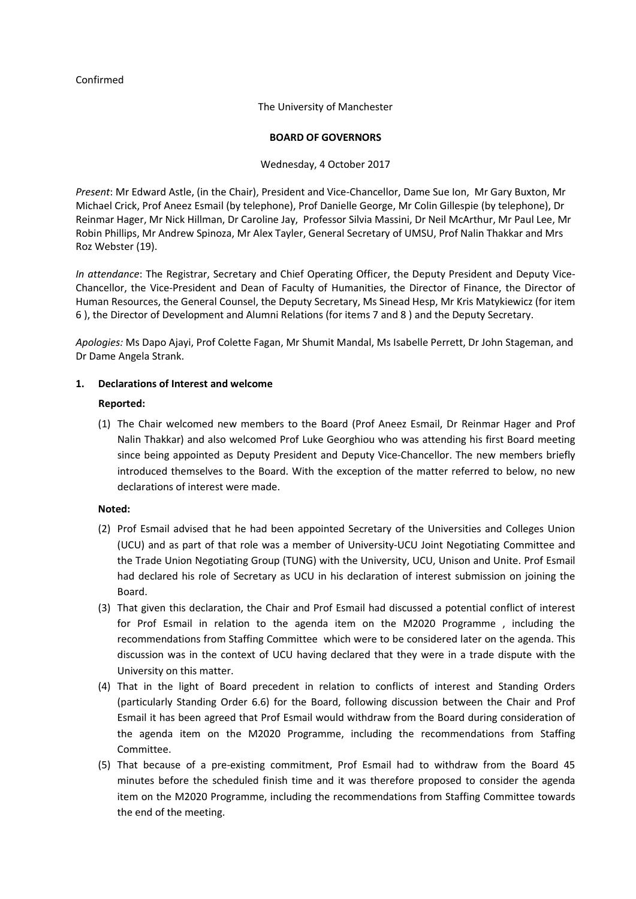## Confirmed

The University of Manchester

#### **BOARD OF GOVERNORS**

### Wednesday, 4 October 2017

*Present*: Mr Edward Astle, (in the Chair), President and Vice-Chancellor, Dame Sue Ion, Mr Gary Buxton, Mr Michael Crick, Prof Aneez Esmail (by telephone), Prof Danielle George, Mr Colin Gillespie (by telephone), Dr Reinmar Hager, Mr Nick Hillman, Dr Caroline Jay, Professor Silvia Massini, Dr Neil McArthur, Mr Paul Lee, Mr Robin Phillips, Mr Andrew Spinoza, Mr Alex Tayler, General Secretary of UMSU, Prof Nalin Thakkar and Mrs Roz Webster (19).

*In attendance*: The Registrar, Secretary and Chief Operating Officer, the Deputy President and Deputy Vice-Chancellor, the Vice-President and Dean of Faculty of Humanities, the Director of Finance, the Director of Human Resources, the General Counsel, the Deputy Secretary, Ms Sinead Hesp, Mr Kris Matykiewicz (for item 6 ), the Director of Development and Alumni Relations (for items 7 and 8 ) and the Deputy Secretary.

*Apologies:* Ms Dapo Ajayi, Prof Colette Fagan, Mr Shumit Mandal, Ms Isabelle Perrett, Dr John Stageman, and Dr Dame Angela Strank.

## **1. Declarations of Interest and welcome**

### **Reported:**

(1) The Chair welcomed new members to the Board (Prof Aneez Esmail, Dr Reinmar Hager and Prof Nalin Thakkar) and also welcomed Prof Luke Georghiou who was attending his first Board meeting since being appointed as Deputy President and Deputy Vice-Chancellor. The new members briefly introduced themselves to the Board. With the exception of the matter referred to below, no new declarations of interest were made.

- (2) Prof Esmail advised that he had been appointed Secretary of the Universities and Colleges Union (UCU) and as part of that role was a member of University-UCU Joint Negotiating Committee and the Trade Union Negotiating Group (TUNG) with the University, UCU, Unison and Unite. Prof Esmail had declared his role of Secretary as UCU in his declaration of interest submission on joining the Board.
- (3) That given this declaration, the Chair and Prof Esmail had discussed a potential conflict of interest for Prof Esmail in relation to the agenda item on the M2020 Programme , including the recommendations from Staffing Committee which were to be considered later on the agenda. This discussion was in the context of UCU having declared that they were in a trade dispute with the University on this matter.
- (4) That in the light of Board precedent in relation to conflicts of interest and Standing Orders (particularly Standing Order 6.6) for the Board, following discussion between the Chair and Prof Esmail it has been agreed that Prof Esmail would withdraw from the Board during consideration of the agenda item on the M2020 Programme, including the recommendations from Staffing Committee.
- (5) That because of a pre-existing commitment, Prof Esmail had to withdraw from the Board 45 minutes before the scheduled finish time and it was therefore proposed to consider the agenda item on the M2020 Programme, including the recommendations from Staffing Committee towards the end of the meeting.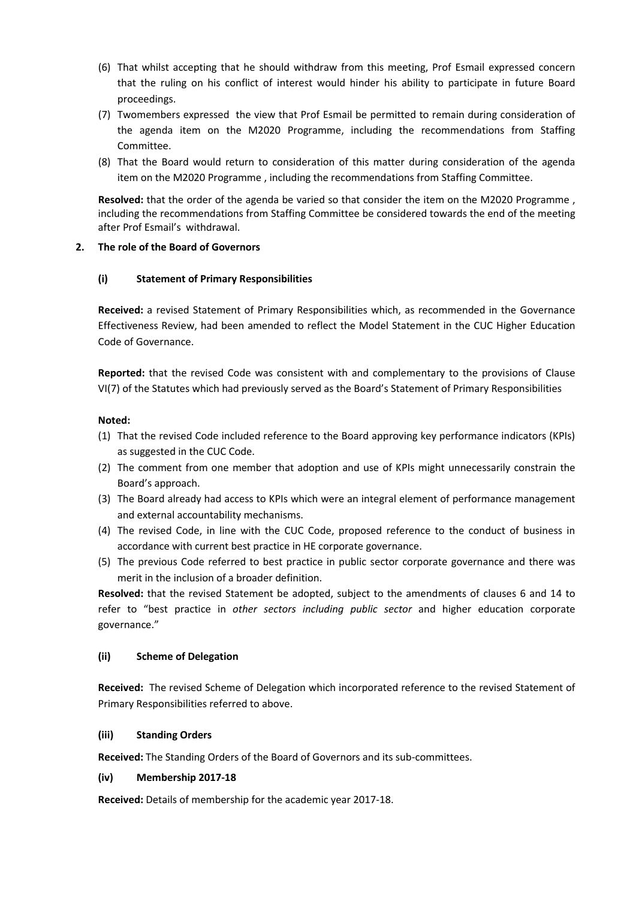- (6) That whilst accepting that he should withdraw from this meeting, Prof Esmail expressed concern that the ruling on his conflict of interest would hinder his ability to participate in future Board proceedings.
- (7) Twomembers expressed the view that Prof Esmail be permitted to remain during consideration of the agenda item on the M2020 Programme, including the recommendations from Staffing Committee.
- (8) That the Board would return to consideration of this matter during consideration of the agenda item on the M2020 Programme , including the recommendations from Staffing Committee.

**Resolved:** that the order of the agenda be varied so that consider the item on the M2020 Programme , including the recommendations from Staffing Committee be considered towards the end of the meeting after Prof Esmail's withdrawal.

## **2. The role of the Board of Governors**

# **(i) Statement of Primary Responsibilities**

**Received:** a revised Statement of Primary Responsibilities which, as recommended in the Governance Effectiveness Review, had been amended to reflect the Model Statement in the CUC Higher Education Code of Governance.

**Reported:** that the revised Code was consistent with and complementary to the provisions of Clause VI(7) of the Statutes which had previously served as the Board's Statement of Primary Responsibilities

## **Noted:**

- (1) That the revised Code included reference to the Board approving key performance indicators (KPIs) as suggested in the CUC Code.
- (2) The comment from one member that adoption and use of KPIs might unnecessarily constrain the Board's approach.
- (3) The Board already had access to KPIs which were an integral element of performance management and external accountability mechanisms.
- (4) The revised Code, in line with the CUC Code, proposed reference to the conduct of business in accordance with current best practice in HE corporate governance.
- (5) The previous Code referred to best practice in public sector corporate governance and there was merit in the inclusion of a broader definition.

**Resolved:** that the revised Statement be adopted, subject to the amendments of clauses 6 and 14 to refer to "best practice in *other sectors including public sector* and higher education corporate governance."

## **(ii) Scheme of Delegation**

**Received:** The revised Scheme of Delegation which incorporated reference to the revised Statement of Primary Responsibilities referred to above.

## **(iii) Standing Orders**

**Received:** The Standing Orders of the Board of Governors and its sub-committees.

## **(iv) Membership 2017-18**

**Received:** Details of membership for the academic year 2017-18.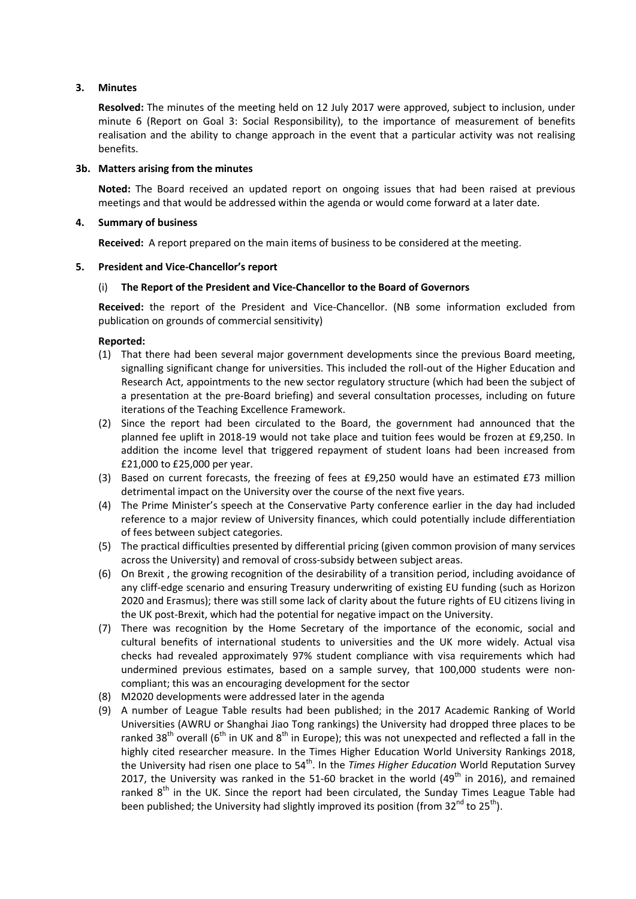## **3. Minutes**

**Resolved:** The minutes of the meeting held on 12 July 2017 were approved, subject to inclusion, under minute 6 (Report on Goal 3: Social Responsibility), to the importance of measurement of benefits realisation and the ability to change approach in the event that a particular activity was not realising benefits.

#### **3b. Matters arising from the minutes**

**Noted:** The Board received an updated report on ongoing issues that had been raised at previous meetings and that would be addressed within the agenda or would come forward at a later date.

### **4. Summary of business**

**Received:** A report prepared on the main items of business to be considered at the meeting.

### **5. President and Vice-Chancellor's report**

### (i) **The Report of the President and Vice-Chancellor to the Board of Governors**

**Received:** the report of the President and Vice-Chancellor. (NB some information excluded from publication on grounds of commercial sensitivity)

- (1) That there had been several major government developments since the previous Board meeting, signalling significant change for universities. This included the roll-out of the Higher Education and Research Act, appointments to the new sector regulatory structure (which had been the subject of a presentation at the pre-Board briefing) and several consultation processes, including on future iterations of the Teaching Excellence Framework.
- (2) Since the report had been circulated to the Board, the government had announced that the planned fee uplift in 2018-19 would not take place and tuition fees would be frozen at £9,250. In addition the income level that triggered repayment of student loans had been increased from £21,000 to £25,000 per year.
- (3) Based on current forecasts, the freezing of fees at £9,250 would have an estimated £73 million detrimental impact on the University over the course of the next five years.
- (4) The Prime Minister's speech at the Conservative Party conference earlier in the day had included reference to a major review of University finances, which could potentially include differentiation of fees between subject categories.
- (5) The practical difficulties presented by differential pricing (given common provision of many services across the University) and removal of cross-subsidy between subject areas.
- (6) On Brexit , the growing recognition of the desirability of a transition period, including avoidance of any cliff-edge scenario and ensuring Treasury underwriting of existing EU funding (such as Horizon 2020 and Erasmus); there was still some lack of clarity about the future rights of EU citizens living in the UK post-Brexit, which had the potential for negative impact on the University.
- (7) There was recognition by the Home Secretary of the importance of the economic, social and cultural benefits of international students to universities and the UK more widely. Actual visa checks had revealed approximately 97% student compliance with visa requirements which had undermined previous estimates, based on a sample survey, that 100,000 students were noncompliant; this was an encouraging development for the sector
- (8) M2020 developments were addressed later in the agenda
- (9) A number of League Table results had been published; in the 2017 Academic Ranking of World Universities (AWRU or Shanghai Jiao Tong rankings) the University had dropped three places to be ranked 38<sup>th</sup> overall (6<sup>th</sup> in UK and 8<sup>th</sup> in Europe); this was not unexpected and reflected a fall in the highly cited researcher measure. In the Times Higher Education World University Rankings 2018, the University had risen one place to 54<sup>th</sup>. In the *Times Higher Education* World Reputation Survey 2017, the University was ranked in the 51-60 bracket in the world (49<sup>th</sup> in 2016), and remained ranked  $8<sup>th</sup>$  in the UK. Since the report had been circulated, the Sunday Times League Table had been published; the University had slightly improved its position (from  $32^{nd}$  to  $25^{th}$ ).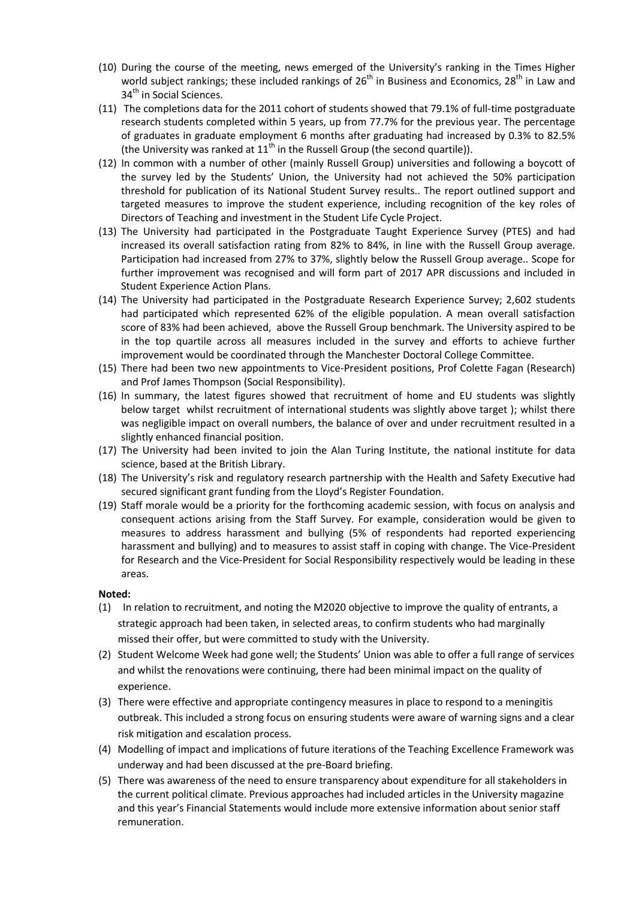- (10) During the course of the meeting, news emerged of the University's ranking in the Times Higher world subject rankings; these included rankings of  $26<sup>th</sup>$  in Business and Economics,  $28<sup>th</sup>$  in Law and 34<sup>th</sup> in Social Sciences.
- (11) The completions data for the 2011 cohort of students showed that 79.1% of full-time postgraduate research students completed within 5 years, up from 77.7% for the previous year. The percentage of graduates in graduate employment 6 months after graduating had increased by 0.3% to 82.5% (the University was ranked at  $11<sup>th</sup>$  in the Russell Group (the second quartile)).
- (12) In common with a number of other (mainly Russell Group) universities and following a boycott of the survey led by the Students' Union, the University had not achieved the 50% participation threshold for publication of its National Student Survey results.. The report outlined support and targeted measures to improve the student experience, including recognition of the key roles of Directors of Teaching and investment in the Student Life Cycle Project.
- (13) The University had participated in the Postgraduate Taught Experience Survey (PTES) and had increased its overall satisfaction rating from 82% to 84%, in line with the Russell Group average. Participation had increased from 27% to 37%, slightly below the Russell Group average.. Scope for further improvement was recognised and will form part of 2017 APR discussions and included in Student Experience Action Plans.
- (14) The University had participated in the Postgraduate Research Experience Survey; 2,602 students had participated which represented 62% of the eligible population. A mean overall satisfaction score of 83% had been achieved, above the Russell Group benchmark. The University aspired to be in the top quartile across all measures included in the survey and efforts to achieve further improvement would be coordinated through the Manchester Doctoral College Committee.
- (15) There had been two new appointments to Vice-President positions, Prof Colette Fagan (Research) and Prof James Thompson (Social Responsibility).
- (16) In summary, the latest figures showed that recruitment of home and EU students was slightly below target whilst recruitment of international students was slightly above target ); whilst there was negligible impact on overall numbers, the balance of over and under recruitment resulted in a slightly enhanced financial position.
- (17) The University had been invited to join the Alan Turing Institute, the national institute for data science, based at the British Library.
- (18) The University's risk and regulatory research partnership with the Health and Safety Executive had secured significant grant funding from the Lloyd's Register Foundation.
- (19) Staff morale would be a priority for the forthcoming academic session, with focus on analysis and consequent actions arising from the Staff Survey. For example, consideration would be given to measures to address harassment and bullying (5% of respondents had reported experiencing harassment and bullying) and to measures to assist staff in coping with change. The Vice-President for Research and the Vice-President for Social Responsibility respectively would be leading in these areas.

- (1) In relation to recruitment, and noting the M2020 objective to improve the quality of entrants, a strategic approach had been taken, in selected areas, to confirm students who had marginally missed their offer, but were committed to study with the University.
- (2) Student Welcome Week had gone well; the Students' Union was able to offer a full range of services and whilst the renovations were continuing, there had been minimal impact on the quality of experience.
- (3) There were effective and appropriate contingency measures in place to respond to a meningitis outbreak. This included a strong focus on ensuring students were aware of warning signs and a clear risk mitigation and escalation process.
- (4) Modelling of impact and implications of future iterations of the Teaching Excellence Framework was underway and had been discussed at the pre-Board briefing.
- (5) There was awareness of the need to ensure transparency about expenditure for all stakeholders in the current political climate. Previous approaches had included articles in the University magazine and this year's Financial Statements would include more extensive information about senior staff remuneration.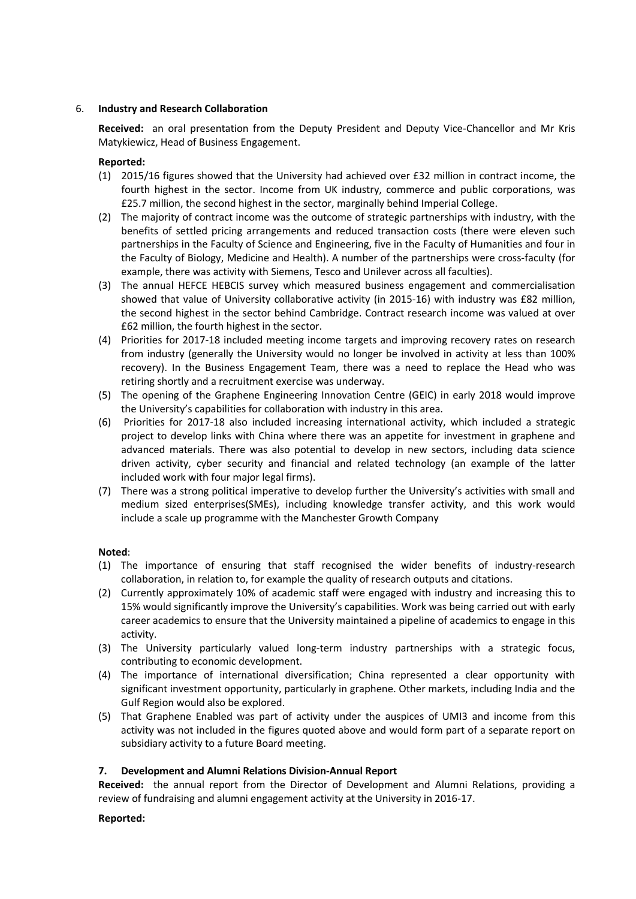## 6. **Industry and Research Collaboration**

**Received:** an oral presentation from the Deputy President and Deputy Vice-Chancellor and Mr Kris Matykiewicz, Head of Business Engagement.

### **Reported:**

- (1) 2015/16 figures showed that the University had achieved over £32 million in contract income, the fourth highest in the sector. Income from UK industry, commerce and public corporations, was £25.7 million, the second highest in the sector, marginally behind Imperial College.
- (2) The majority of contract income was the outcome of strategic partnerships with industry, with the benefits of settled pricing arrangements and reduced transaction costs (there were eleven such partnerships in the Faculty of Science and Engineering, five in the Faculty of Humanities and four in the Faculty of Biology, Medicine and Health). A number of the partnerships were cross-faculty (for example, there was activity with Siemens, Tesco and Unilever across all faculties).
- (3) The annual HEFCE HEBCIS survey which measured business engagement and commercialisation showed that value of University collaborative activity (in 2015-16) with industry was £82 million, the second highest in the sector behind Cambridge. Contract research income was valued at over £62 million, the fourth highest in the sector.
- (4) Priorities for 2017-18 included meeting income targets and improving recovery rates on research from industry (generally the University would no longer be involved in activity at less than 100% recovery). In the Business Engagement Team, there was a need to replace the Head who was retiring shortly and a recruitment exercise was underway.
- (5) The opening of the Graphene Engineering Innovation Centre (GEIC) in early 2018 would improve the University's capabilities for collaboration with industry in this area.
- (6) Priorities for 2017-18 also included increasing international activity, which included a strategic project to develop links with China where there was an appetite for investment in graphene and advanced materials. There was also potential to develop in new sectors, including data science driven activity, cyber security and financial and related technology (an example of the latter included work with four major legal firms).
- (7) There was a strong political imperative to develop further the University's activities with small and medium sized enterprises(SMEs), including knowledge transfer activity, and this work would include a scale up programme with the Manchester Growth Company

## **Noted**:

- (1) The importance of ensuring that staff recognised the wider benefits of industry-research collaboration, in relation to, for example the quality of research outputs and citations.
- (2) Currently approximately 10% of academic staff were engaged with industry and increasing this to 15% would significantly improve the University's capabilities. Work was being carried out with early career academics to ensure that the University maintained a pipeline of academics to engage in this activity.
- (3) The University particularly valued long-term industry partnerships with a strategic focus, contributing to economic development.
- (4) The importance of international diversification; China represented a clear opportunity with significant investment opportunity, particularly in graphene. Other markets, including India and the Gulf Region would also be explored.
- (5) That Graphene Enabled was part of activity under the auspices of UMI3 and income from this activity was not included in the figures quoted above and would form part of a separate report on subsidiary activity to a future Board meeting.

## **7. Development and Alumni Relations Division-Annual Report**

**Received:** the annual report from the Director of Development and Alumni Relations, providing a review of fundraising and alumni engagement activity at the University in 2016-17.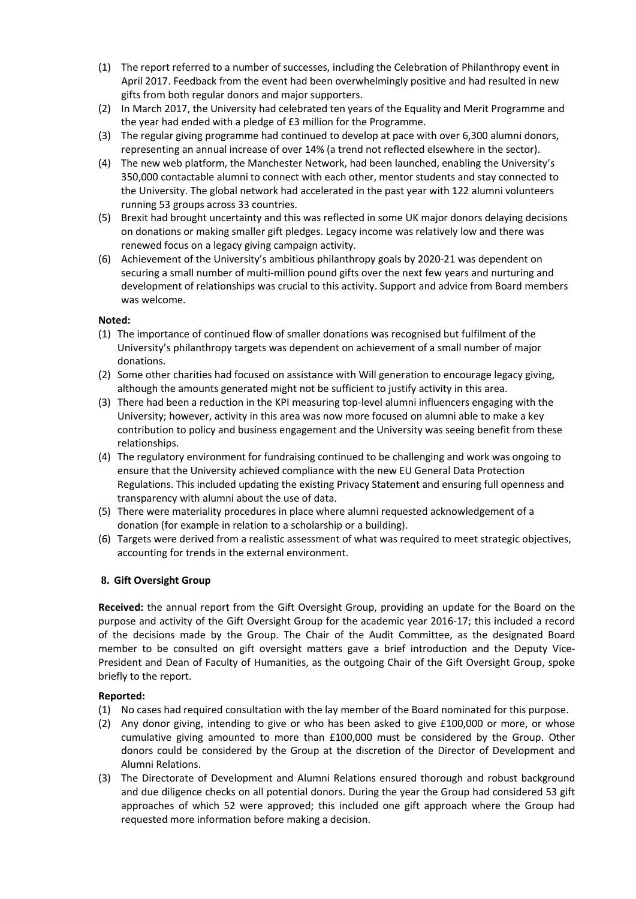- (1) The report referred to a number of successes, including the Celebration of Philanthropy event in April 2017. Feedback from the event had been overwhelmingly positive and had resulted in new gifts from both regular donors and major supporters.
- (2) In March 2017, the University had celebrated ten years of the Equality and Merit Programme and the year had ended with a pledge of £3 million for the Programme.
- (3) The regular giving programme had continued to develop at pace with over 6,300 alumni donors, representing an annual increase of over 14% (a trend not reflected elsewhere in the sector).
- (4) The new web platform, the Manchester Network, had been launched, enabling the University's 350,000 contactable alumni to connect with each other, mentor students and stay connected to the University. The global network had accelerated in the past year with 122 alumni volunteers running 53 groups across 33 countries.
- (5) Brexit had brought uncertainty and this was reflected in some UK major donors delaying decisions on donations or making smaller gift pledges. Legacy income was relatively low and there was renewed focus on a legacy giving campaign activity.
- (6) Achievement of the University's ambitious philanthropy goals by 2020-21 was dependent on securing a small number of multi-million pound gifts over the next few years and nurturing and development of relationships was crucial to this activity. Support and advice from Board members was welcome.

### **Noted:**

- (1) The importance of continued flow of smaller donations was recognised but fulfilment of the University's philanthropy targets was dependent on achievement of a small number of major donations.
- (2) Some other charities had focused on assistance with Will generation to encourage legacy giving, although the amounts generated might not be sufficient to justify activity in this area.
- (3) There had been a reduction in the KPI measuring top-level alumni influencers engaging with the University; however, activity in this area was now more focused on alumni able to make a key contribution to policy and business engagement and the University was seeing benefit from these relationships.
- (4) The regulatory environment for fundraising continued to be challenging and work was ongoing to ensure that the University achieved compliance with the new EU General Data Protection Regulations. This included updating the existing Privacy Statement and ensuring full openness and transparency with alumni about the use of data.
- (5) There were materiality procedures in place where alumni requested acknowledgement of a donation (for example in relation to a scholarship or a building).
- (6) Targets were derived from a realistic assessment of what was required to meet strategic objectives, accounting for trends in the external environment.

## **8. Gift Oversight Group**

**Received:** the annual report from the Gift Oversight Group, providing an update for the Board on the purpose and activity of the Gift Oversight Group for the academic year 2016-17; this included a record of the decisions made by the Group. The Chair of the Audit Committee, as the designated Board member to be consulted on gift oversight matters gave a brief introduction and the Deputy Vice-President and Dean of Faculty of Humanities, as the outgoing Chair of the Gift Oversight Group, spoke briefly to the report.

- (1) No cases had required consultation with the lay member of the Board nominated for this purpose.
- (2) Any donor giving, intending to give or who has been asked to give £100,000 or more, or whose cumulative giving amounted to more than £100,000 must be considered by the Group. Other donors could be considered by the Group at the discretion of the Director of Development and Alumni Relations.
- (3) The Directorate of Development and Alumni Relations ensured thorough and robust background and due diligence checks on all potential donors. During the year the Group had considered 53 gift approaches of which 52 were approved; this included one gift approach where the Group had requested more information before making a decision.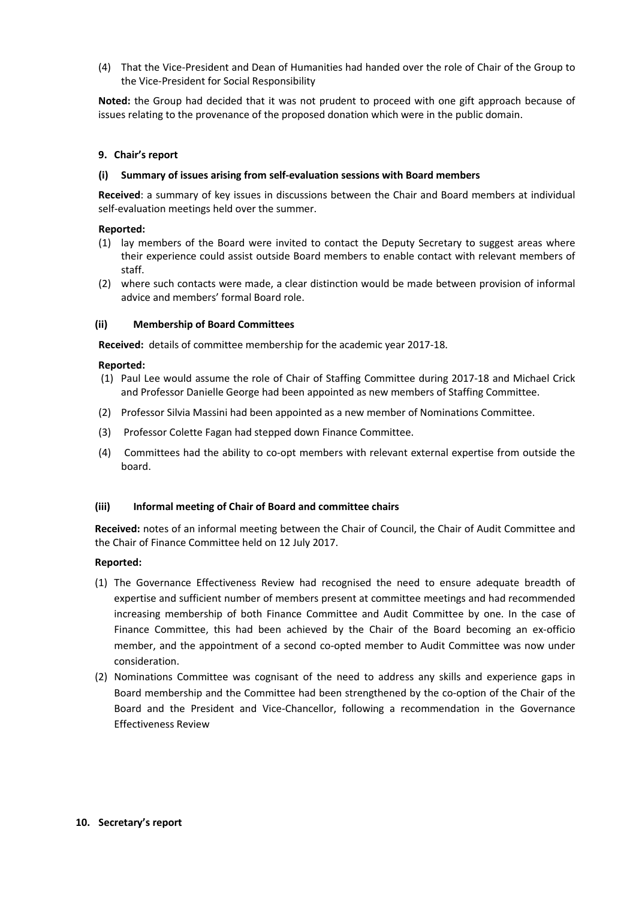(4) That the Vice-President and Dean of Humanities had handed over the role of Chair of the Group to the Vice-President for Social Responsibility

**Noted:** the Group had decided that it was not prudent to proceed with one gift approach because of issues relating to the provenance of the proposed donation which were in the public domain.

## **9. Chair's report**

### **(i) Summary of issues arising from self-evaluation sessions with Board members**

**Received**: a summary of key issues in discussions between the Chair and Board members at individual self-evaluation meetings held over the summer.

### **Reported:**

- (1) lay members of the Board were invited to contact the Deputy Secretary to suggest areas where their experience could assist outside Board members to enable contact with relevant members of staff.
- (2) where such contacts were made, a clear distinction would be made between provision of informal advice and members' formal Board role.

### **(ii) Membership of Board Committees**

**Received:** details of committee membership for the academic year 2017-18.

### **Reported:**

- (1) Paul Lee would assume the role of Chair of Staffing Committee during 2017-18 and Michael Crick and Professor Danielle George had been appointed as new members of Staffing Committee.
- (2) Professor Silvia Massini had been appointed as a new member of Nominations Committee.
- (3) Professor Colette Fagan had stepped down Finance Committee.
- (4) Committees had the ability to co-opt members with relevant external expertise from outside the board.

#### **(iii) Informal meeting of Chair of Board and committee chairs**

**Received:** notes of an informal meeting between the Chair of Council, the Chair of Audit Committee and the Chair of Finance Committee held on 12 July 2017.

- (1) The Governance Effectiveness Review had recognised the need to ensure adequate breadth of expertise and sufficient number of members present at committee meetings and had recommended increasing membership of both Finance Committee and Audit Committee by one. In the case of Finance Committee, this had been achieved by the Chair of the Board becoming an ex-officio member, and the appointment of a second co-opted member to Audit Committee was now under consideration.
- (2) Nominations Committee was cognisant of the need to address any skills and experience gaps in Board membership and the Committee had been strengthened by the co-option of the Chair of the Board and the President and Vice-Chancellor, following a recommendation in the Governance Effectiveness Review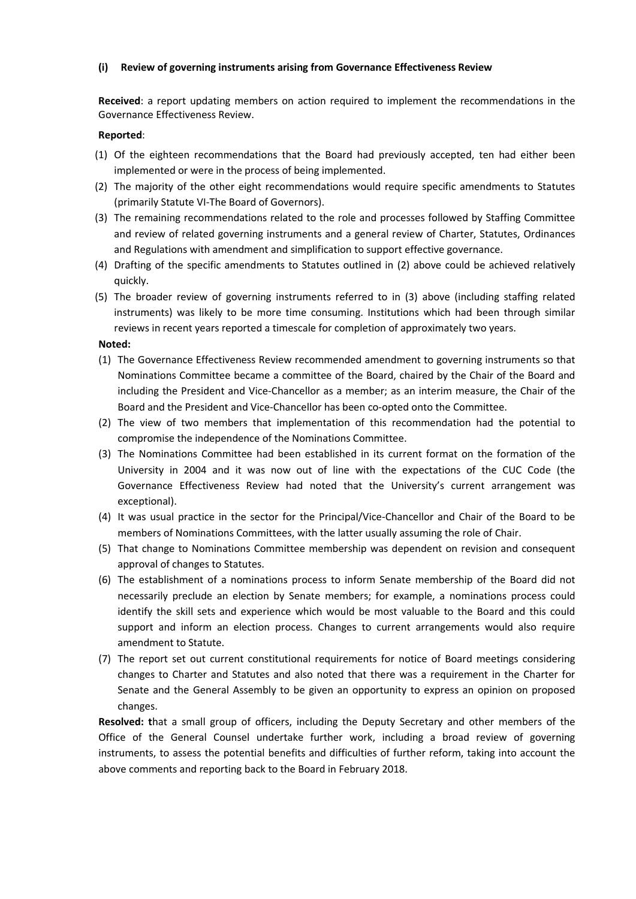## **(i) Review of governing instruments arising from Governance Effectiveness Review**

**Received**: a report updating members on action required to implement the recommendations in the Governance Effectiveness Review.

#### **Reported**:

- (1) Of the eighteen recommendations that the Board had previously accepted, ten had either been implemented or were in the process of being implemented.
- (2) The majority of the other eight recommendations would require specific amendments to Statutes (primarily Statute VI-The Board of Governors).
- (3) The remaining recommendations related to the role and processes followed by Staffing Committee and review of related governing instruments and a general review of Charter, Statutes, Ordinances and Regulations with amendment and simplification to support effective governance.
- (4) Drafting of the specific amendments to Statutes outlined in (2) above could be achieved relatively quickly.
- (5) The broader review of governing instruments referred to in (3) above (including staffing related instruments) was likely to be more time consuming. Institutions which had been through similar reviews in recent years reported a timescale for completion of approximately two years.

**Noted:**

- (1) The Governance Effectiveness Review recommended amendment to governing instruments so that Nominations Committee became a committee of the Board, chaired by the Chair of the Board and including the President and Vice-Chancellor as a member; as an interim measure, the Chair of the Board and the President and Vice-Chancellor has been co-opted onto the Committee.
- (2) The view of two members that implementation of this recommendation had the potential to compromise the independence of the Nominations Committee.
- (3) The Nominations Committee had been established in its current format on the formation of the University in 2004 and it was now out of line with the expectations of the CUC Code (the Governance Effectiveness Review had noted that the University's current arrangement was exceptional).
- (4) It was usual practice in the sector for the Principal/Vice-Chancellor and Chair of the Board to be members of Nominations Committees, with the latter usually assuming the role of Chair.
- (5) That change to Nominations Committee membership was dependent on revision and consequent approval of changes to Statutes.
- (6) The establishment of a nominations process to inform Senate membership of the Board did not necessarily preclude an election by Senate members; for example, a nominations process could identify the skill sets and experience which would be most valuable to the Board and this could support and inform an election process. Changes to current arrangements would also require amendment to Statute.
- (7) The report set out current constitutional requirements for notice of Board meetings considering changes to Charter and Statutes and also noted that there was a requirement in the Charter for Senate and the General Assembly to be given an opportunity to express an opinion on proposed changes.

**Resolved: t**hat a small group of officers, including the Deputy Secretary and other members of the Office of the General Counsel undertake further work, including a broad review of governing instruments, to assess the potential benefits and difficulties of further reform, taking into account the above comments and reporting back to the Board in February 2018.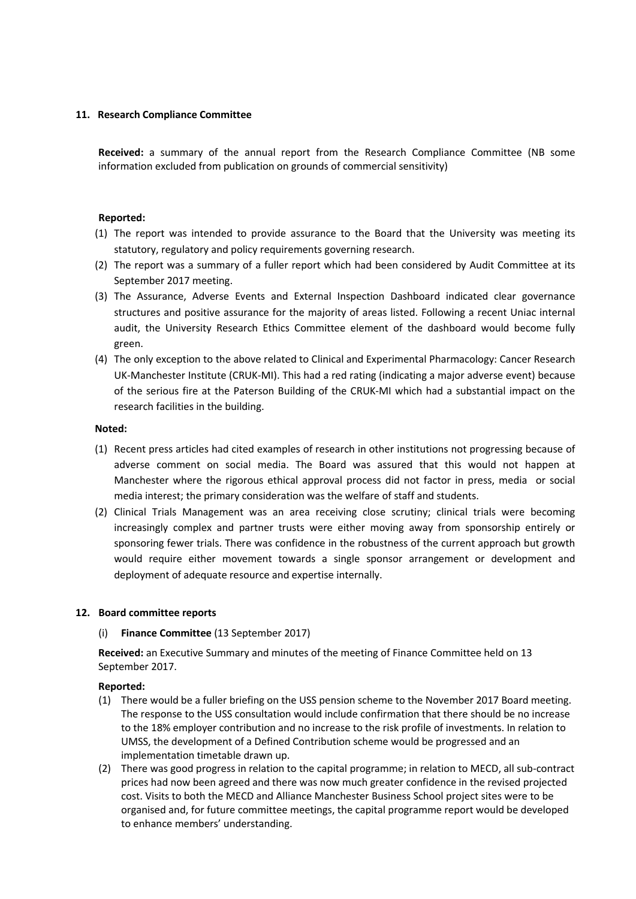### **11. Research Compliance Committee**

**Received:** a summary of the annual report from the Research Compliance Committee (NB some information excluded from publication on grounds of commercial sensitivity)

#### **Reported:**

- (1) The report was intended to provide assurance to the Board that the University was meeting its statutory, regulatory and policy requirements governing research.
- (2) The report was a summary of a fuller report which had been considered by Audit Committee at its September 2017 meeting.
- (3) The Assurance, Adverse Events and External Inspection Dashboard indicated clear governance structures and positive assurance for the majority of areas listed. Following a recent Uniac internal audit, the University Research Ethics Committee element of the dashboard would become fully green.
- (4) The only exception to the above related to Clinical and Experimental Pharmacology: Cancer Research UK-Manchester Institute (CRUK-MI). This had a red rating (indicating a major adverse event) because of the serious fire at the Paterson Building of the CRUK-MI which had a substantial impact on the research facilities in the building.

#### **Noted:**

- (1) Recent press articles had cited examples of research in other institutions not progressing because of adverse comment on social media. The Board was assured that this would not happen at Manchester where the rigorous ethical approval process did not factor in press, media or social media interest; the primary consideration was the welfare of staff and students.
- (2) Clinical Trials Management was an area receiving close scrutiny; clinical trials were becoming increasingly complex and partner trusts were either moving away from sponsorship entirely or sponsoring fewer trials. There was confidence in the robustness of the current approach but growth would require either movement towards a single sponsor arrangement or development and deployment of adequate resource and expertise internally.

#### **12. Board committee reports**

#### (i) **Finance Committee** (13 September 2017)

**Received:** an Executive Summary and minutes of the meeting of Finance Committee held on 13 September 2017.

- (1) There would be a fuller briefing on the USS pension scheme to the November 2017 Board meeting. The response to the USS consultation would include confirmation that there should be no increase to the 18% employer contribution and no increase to the risk profile of investments. In relation to UMSS, the development of a Defined Contribution scheme would be progressed and an implementation timetable drawn up.
- (2) There was good progress in relation to the capital programme; in relation to MECD, all sub-contract prices had now been agreed and there was now much greater confidence in the revised projected cost. Visits to both the MECD and Alliance Manchester Business School project sites were to be organised and, for future committee meetings, the capital programme report would be developed to enhance members' understanding.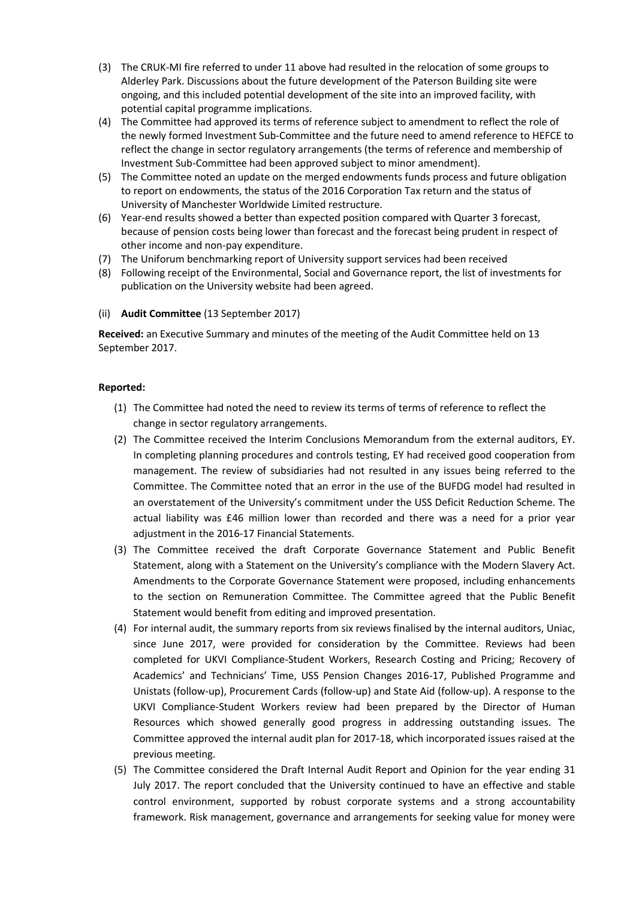- (3) The CRUK-MI fire referred to under 11 above had resulted in the relocation of some groups to Alderley Park. Discussions about the future development of the Paterson Building site were ongoing, and this included potential development of the site into an improved facility, with potential capital programme implications.
- (4) The Committee had approved its terms of reference subject to amendment to reflect the role of the newly formed Investment Sub-Committee and the future need to amend reference to HEFCE to reflect the change in sector regulatory arrangements (the terms of reference and membership of Investment Sub-Committee had been approved subject to minor amendment).
- (5) The Committee noted an update on the merged endowments funds process and future obligation to report on endowments, the status of the 2016 Corporation Tax return and the status of University of Manchester Worldwide Limited restructure.
- (6) Year-end results showed a better than expected position compared with Quarter 3 forecast, because of pension costs being lower than forecast and the forecast being prudent in respect of other income and non-pay expenditure.
- (7) The Uniforum benchmarking report of University support services had been received
- (8) Following receipt of the Environmental, Social and Governance report, the list of investments for publication on the University website had been agreed.
- (ii) **Audit Committee** (13 September 2017)

**Received:** an Executive Summary and minutes of the meeting of the Audit Committee held on 13 September 2017.

- (1) The Committee had noted the need to review its terms of terms of reference to reflect the change in sector regulatory arrangements.
- (2) The Committee received the Interim Conclusions Memorandum from the external auditors, EY. In completing planning procedures and controls testing, EY had received good cooperation from management. The review of subsidiaries had not resulted in any issues being referred to the Committee. The Committee noted that an error in the use of the BUFDG model had resulted in an overstatement of the University's commitment under the USS Deficit Reduction Scheme. The actual liability was £46 million lower than recorded and there was a need for a prior year adjustment in the 2016-17 Financial Statements.
- (3) The Committee received the draft Corporate Governance Statement and Public Benefit Statement, along with a Statement on the University's compliance with the Modern Slavery Act. Amendments to the Corporate Governance Statement were proposed, including enhancements to the section on Remuneration Committee. The Committee agreed that the Public Benefit Statement would benefit from editing and improved presentation.
- (4) For internal audit, the summary reports from six reviews finalised by the internal auditors, Uniac, since June 2017, were provided for consideration by the Committee. Reviews had been completed for UKVI Compliance-Student Workers, Research Costing and Pricing; Recovery of Academics' and Technicians' Time, USS Pension Changes 2016-17, Published Programme and Unistats (follow-up), Procurement Cards (follow-up) and State Aid (follow-up). A response to the UKVI Compliance-Student Workers review had been prepared by the Director of Human Resources which showed generally good progress in addressing outstanding issues. The Committee approved the internal audit plan for 2017-18, which incorporated issues raised at the previous meeting.
- (5) The Committee considered the Draft Internal Audit Report and Opinion for the year ending 31 July 2017. The report concluded that the University continued to have an effective and stable control environment, supported by robust corporate systems and a strong accountability framework. Risk management, governance and arrangements for seeking value for money were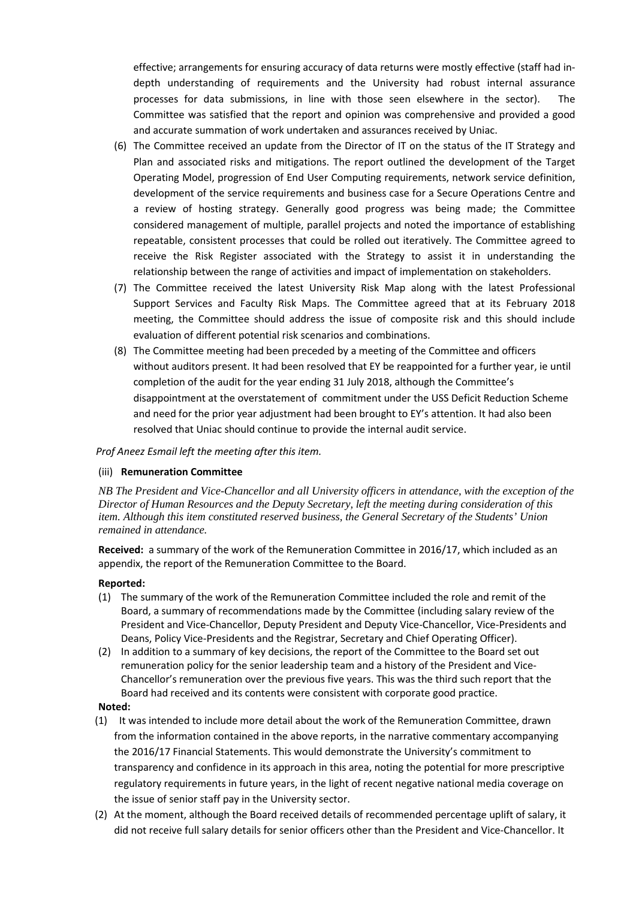effective; arrangements for ensuring accuracy of data returns were mostly effective (staff had indepth understanding of requirements and the University had robust internal assurance processes for data submissions, in line with those seen elsewhere in the sector). The Committee was satisfied that the report and opinion was comprehensive and provided a good and accurate summation of work undertaken and assurances received by Uniac.

- (6) The Committee received an update from the Director of IT on the status of the IT Strategy and Plan and associated risks and mitigations. The report outlined the development of the Target Operating Model, progression of End User Computing requirements, network service definition, development of the service requirements and business case for a Secure Operations Centre and a review of hosting strategy. Generally good progress was being made; the Committee considered management of multiple, parallel projects and noted the importance of establishing repeatable, consistent processes that could be rolled out iteratively. The Committee agreed to receive the Risk Register associated with the Strategy to assist it in understanding the relationship between the range of activities and impact of implementation on stakeholders.
- (7) The Committee received the latest University Risk Map along with the latest Professional Support Services and Faculty Risk Maps. The Committee agreed that at its February 2018 meeting, the Committee should address the issue of composite risk and this should include evaluation of different potential risk scenarios and combinations.
- (8) The Committee meeting had been preceded by a meeting of the Committee and officers without auditors present. It had been resolved that EY be reappointed for a further year, ie until completion of the audit for the year ending 31 July 2018, although the Committee's disappointment at the overstatement of commitment under the USS Deficit Reduction Scheme and need for the prior year adjustment had been brought to EY's attention. It had also been resolved that Uniac should continue to provide the internal audit service.

 *Prof Aneez Esmail left the meeting after this item.*

#### (iii) **Remuneration Committee**

*NB The President and Vice-Chancellor and all University officers in attendance, with the exception of the Director of Human Resources and the Deputy Secretary, left the meeting during consideration of this item. Although this item constituted reserved business, the General Secretary of the Students' Union remained in attendance.*

**Received:** a summary of the work of the Remuneration Committee in 2016/17, which included as an appendix, the report of the Remuneration Committee to the Board.

#### **Reported:**

- (1) The summary of the work of the Remuneration Committee included the role and remit of the Board, a summary of recommendations made by the Committee (including salary review of the President and Vice-Chancellor, Deputy President and Deputy Vice-Chancellor, Vice-Presidents and Deans, Policy Vice-Presidents and the Registrar, Secretary and Chief Operating Officer).
- (2) In addition to a summary of key decisions, the report of the Committee to the Board set out remuneration policy for the senior leadership team and a history of the President and Vice-Chancellor's remuneration over the previous five years. This was the third such report that the Board had received and its contents were consistent with corporate good practice.

- (1) It was intended to include more detail about the work of the Remuneration Committee, drawn from the information contained in the above reports, in the narrative commentary accompanying the 2016/17 Financial Statements. This would demonstrate the University's commitment to transparency and confidence in its approach in this area, noting the potential for more prescriptive regulatory requirements in future years, in the light of recent negative national media coverage on the issue of senior staff pay in the University sector.
- (2) At the moment, although the Board received details of recommended percentage uplift of salary, it did not receive full salary details for senior officers other than the President and Vice-Chancellor. It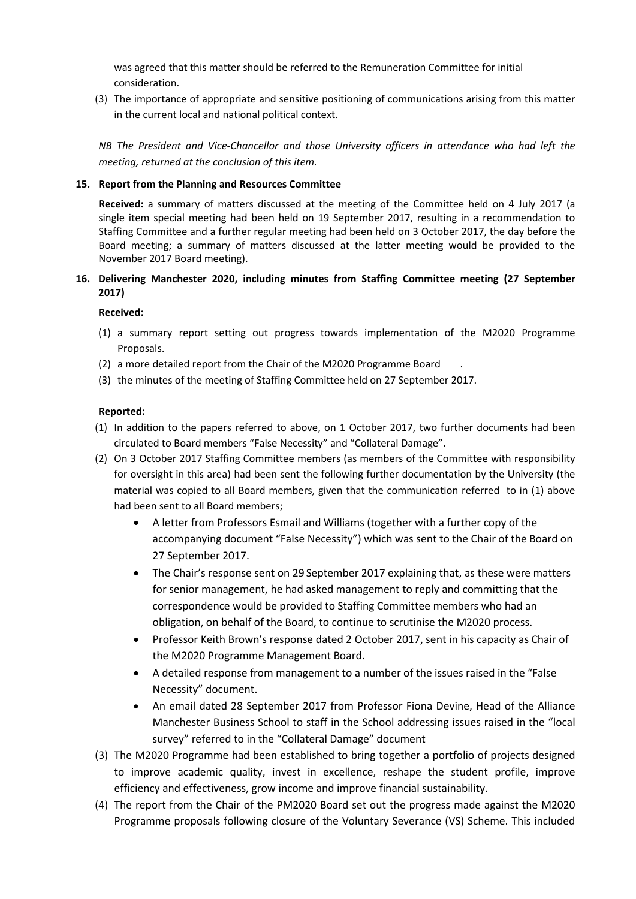was agreed that this matter should be referred to the Remuneration Committee for initial consideration.

(3) The importance of appropriate and sensitive positioning of communications arising from this matter in the current local and national political context.

*NB The President and Vice-Chancellor and those University officers in attendance who had left the meeting, returned at the conclusion of this item.*

### **15. Report from the Planning and Resources Committee**

**Received:** a summary of matters discussed at the meeting of the Committee held on 4 July 2017 (a single item special meeting had been held on 19 September 2017, resulting in a recommendation to Staffing Committee and a further regular meeting had been held on 3 October 2017, the day before the Board meeting; a summary of matters discussed at the latter meeting would be provided to the November 2017 Board meeting).

## **16. Delivering Manchester 2020, including minutes from Staffing Committee meeting (27 September 2017)**

**Received:**

- (1) a summary report setting out progress towards implementation of the M2020 Programme Proposals.
- (2) a more detailed report from the Chair of the M2020 Programme Board .
- (3) the minutes of the meeting of Staffing Committee held on 27 September 2017.

- (1) In addition to the papers referred to above, on 1 October 2017, two further documents had been circulated to Board members "False Necessity" and "Collateral Damage".
- (2) On 3 October 2017 Staffing Committee members (as members of the Committee with responsibility for oversight in this area) had been sent the following further documentation by the University (the material was copied to all Board members, given that the communication referred to in (1) above had been sent to all Board members;
	- A letter from Professors Esmail and Williams (together with a further copy of the accompanying document "False Necessity") which was sent to the Chair of the Board on 27 September 2017.
	- The Chair's response sent on 29 September 2017 explaining that, as these were matters for senior management, he had asked management to reply and committing that the correspondence would be provided to Staffing Committee members who had an obligation, on behalf of the Board, to continue to scrutinise the M2020 process.
	- Professor Keith Brown's response dated 2 October 2017, sent in his capacity as Chair of the M2020 Programme Management Board.
	- A detailed response from management to a number of the issues raised in the "False Necessity" document.
	- An email dated 28 September 2017 from Professor Fiona Devine, Head of the Alliance Manchester Business School to staff in the School addressing issues raised in the "local survey" referred to in the "Collateral Damage" document
- (3) The M2020 Programme had been established to bring together a portfolio of projects designed to improve academic quality, invest in excellence, reshape the student profile, improve efficiency and effectiveness, grow income and improve financial sustainability.
- (4) The report from the Chair of the PM2020 Board set out the progress made against the M2020 Programme proposals following closure of the Voluntary Severance (VS) Scheme. This included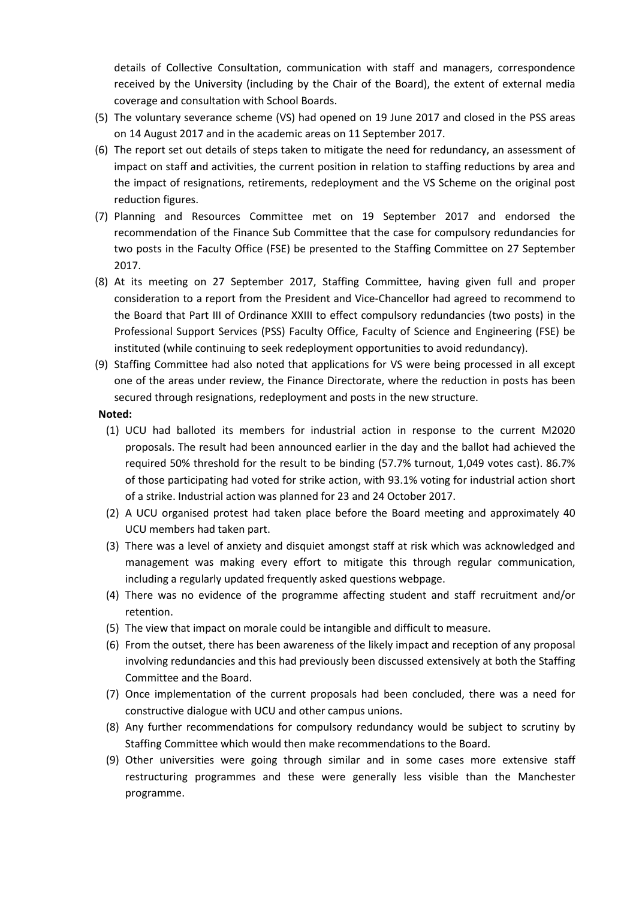details of Collective Consultation, communication with staff and managers, correspondence received by the University (including by the Chair of the Board), the extent of external media coverage and consultation with School Boards.

- (5) The voluntary severance scheme (VS) had opened on 19 June 2017 and closed in the PSS areas on 14 August 2017 and in the academic areas on 11 September 2017.
- (6) The report set out details of steps taken to mitigate the need for redundancy, an assessment of impact on staff and activities, the current position in relation to staffing reductions by area and the impact of resignations, retirements, redeployment and the VS Scheme on the original post reduction figures.
- (7) Planning and Resources Committee met on 19 September 2017 and endorsed the recommendation of the Finance Sub Committee that the case for compulsory redundancies for two posts in the Faculty Office (FSE) be presented to the Staffing Committee on 27 September 2017.
- (8) At its meeting on 27 September 2017, Staffing Committee, having given full and proper consideration to a report from the President and Vice-Chancellor had agreed to recommend to the Board that Part III of Ordinance XXIII to effect compulsory redundancies (two posts) in the Professional Support Services (PSS) Faculty Office, Faculty of Science and Engineering (FSE) be instituted (while continuing to seek redeployment opportunities to avoid redundancy).
- (9) Staffing Committee had also noted that applications for VS were being processed in all except one of the areas under review, the Finance Directorate, where the reduction in posts has been secured through resignations, redeployment and posts in the new structure.

- (1) UCU had balloted its members for industrial action in response to the current M2020 proposals. The result had been announced earlier in the day and the ballot had achieved the required 50% threshold for the result to be binding (57.7% turnout, 1,049 votes cast). 86.7% of those participating had voted for strike action, with 93.1% voting for industrial action short of a strike. Industrial action was planned for 23 and 24 October 2017.
- (2) A UCU organised protest had taken place before the Board meeting and approximately 40 UCU members had taken part.
- (3) There was a level of anxiety and disquiet amongst staff at risk which was acknowledged and management was making every effort to mitigate this through regular communication, including a regularly updated frequently asked questions webpage.
- (4) There was no evidence of the programme affecting student and staff recruitment and/or retention.
- (5) The view that impact on morale could be intangible and difficult to measure.
- (6) From the outset, there has been awareness of the likely impact and reception of any proposal involving redundancies and this had previously been discussed extensively at both the Staffing Committee and the Board.
- (7) Once implementation of the current proposals had been concluded, there was a need for constructive dialogue with UCU and other campus unions.
- (8) Any further recommendations for compulsory redundancy would be subject to scrutiny by Staffing Committee which would then make recommendations to the Board.
- (9) Other universities were going through similar and in some cases more extensive staff restructuring programmes and these were generally less visible than the Manchester programme.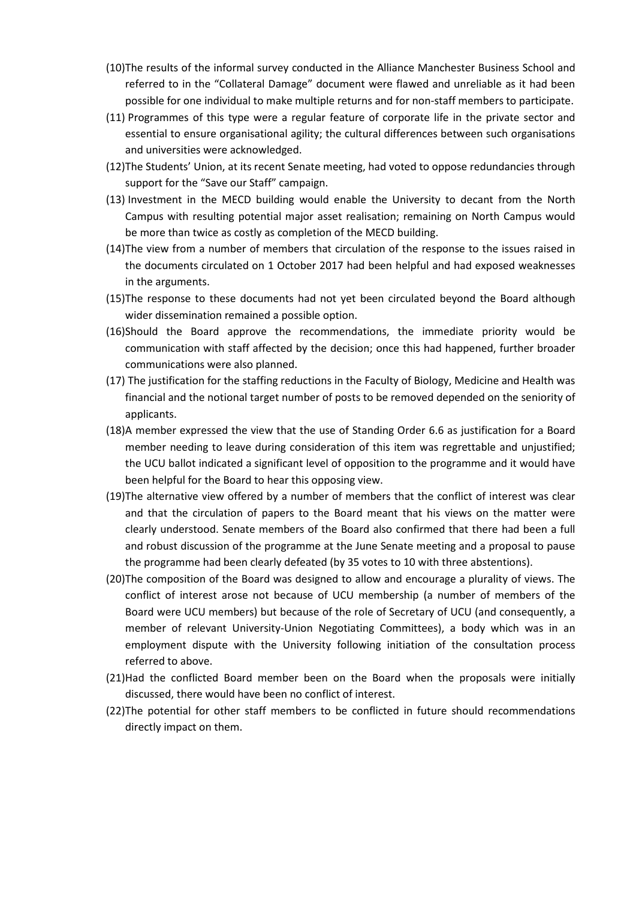- (10)The results of the informal survey conducted in the Alliance Manchester Business School and referred to in the "Collateral Damage" document were flawed and unreliable as it had been possible for one individual to make multiple returns and for non-staff members to participate.
- (11) Programmes of this type were a regular feature of corporate life in the private sector and essential to ensure organisational agility; the cultural differences between such organisations and universities were acknowledged.
- (12)The Students' Union, at its recent Senate meeting, had voted to oppose redundancies through support for the "Save our Staff" campaign.
- (13) Investment in the MECD building would enable the University to decant from the North Campus with resulting potential major asset realisation; remaining on North Campus would be more than twice as costly as completion of the MECD building.
- (14)The view from a number of members that circulation of the response to the issues raised in the documents circulated on 1 October 2017 had been helpful and had exposed weaknesses in the arguments.
- (15)The response to these documents had not yet been circulated beyond the Board although wider dissemination remained a possible option.
- (16)Should the Board approve the recommendations, the immediate priority would be communication with staff affected by the decision; once this had happened, further broader communications were also planned.
- (17) The justification for the staffing reductions in the Faculty of Biology, Medicine and Health was financial and the notional target number of posts to be removed depended on the seniority of applicants.
- (18)A member expressed the view that the use of Standing Order 6.6 as justification for a Board member needing to leave during consideration of this item was regrettable and unjustified; the UCU ballot indicated a significant level of opposition to the programme and it would have been helpful for the Board to hear this opposing view.
- (19)The alternative view offered by a number of members that the conflict of interest was clear and that the circulation of papers to the Board meant that his views on the matter were clearly understood. Senate members of the Board also confirmed that there had been a full and robust discussion of the programme at the June Senate meeting and a proposal to pause the programme had been clearly defeated (by 35 votes to 10 with three abstentions).
- (20)The composition of the Board was designed to allow and encourage a plurality of views. The conflict of interest arose not because of UCU membership (a number of members of the Board were UCU members) but because of the role of Secretary of UCU (and consequently, a member of relevant University-Union Negotiating Committees), a body which was in an employment dispute with the University following initiation of the consultation process referred to above.
- (21)Had the conflicted Board member been on the Board when the proposals were initially discussed, there would have been no conflict of interest.
- (22)The potential for other staff members to be conflicted in future should recommendations directly impact on them.